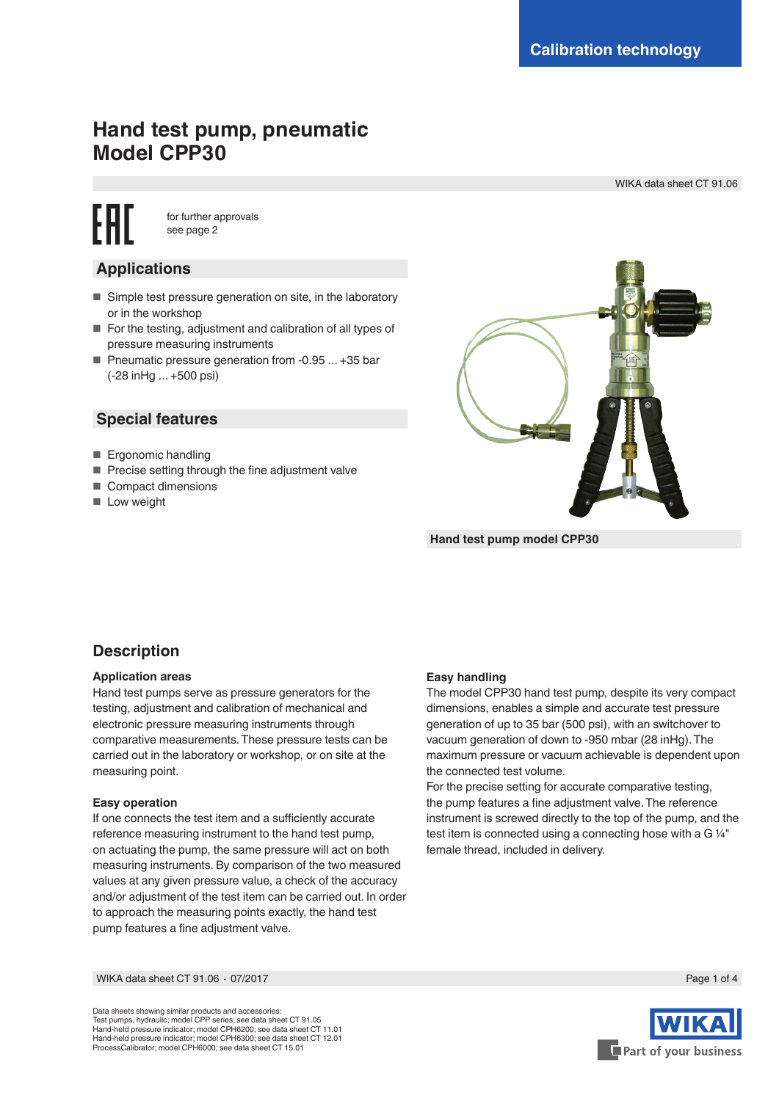# **Hand test pump, pneumatic Model CPP30**

WIKA data sheet CT 91.06

for further approvals see page 2

# **Applications**

- Simple test pressure generation on site, in the laboratory or in the workshop
- For the testing, adjustment and calibration of all types of pressure measuring instruments
- Pneumatic pressure generation from -0.95 ... +35 bar (-28 inHg ... +500 psi)

# **Special features**

- Ergonomic handling
- Precise setting through the fine adjustment valve
- Compact dimensions
- Low weight



**Hand test pump model CPP30**

# **Description**

## **Application areas**

Hand test pumps serve as pressure generators for the testing, adjustment and calibration of mechanical and electronic pressure measuring instruments through comparative measurements. These pressure tests can be carried out in the laboratory or workshop, or on site at the measuring point.

## **Easy operation**

If one connects the test item and a sufficiently accurate reference measuring instrument to the hand test pump, on actuating the pump, the same pressure will act on both measuring instruments. By comparison of the two measured values at any given pressure value, a check of the accuracy and/or adjustment of the test item can be carried out. In order to approach the measuring points exactly, the hand test pump features a fine adjustment valve.

### **Easy handling**

The model CPP30 hand test pump, despite its very compact dimensions, enables a simple and accurate test pressure generation of up to 35 bar (500 psi), with an switchover to vacuum generation of down to -950 mbar (28 inHg). The maximum pressure or vacuum achievable is dependent upon the connected test volume.

For the precise setting for accurate comparative testing, the pump features a fine adjustment valve. The reference instrument is screwed directly to the top of the pump, and the test item is connected using a connecting hose with a G 1/4" female thread, included in delivery.

WIKA data sheet CT 91.06 ⋅ 07/2017 Page 1 of 4

Data sheets showing similar products and accessories: Test pumps, hydraulic; model CPP series; see data sheet CT 91.05 Hand-held pressure indicator; model CPH6200; see data sheet CT 11.01 Hand-held pressure indicator; model CPH6300; see data sheet CT 12.01 ProcessCalibrator; model CPH6000; see data sheet CT 15.01

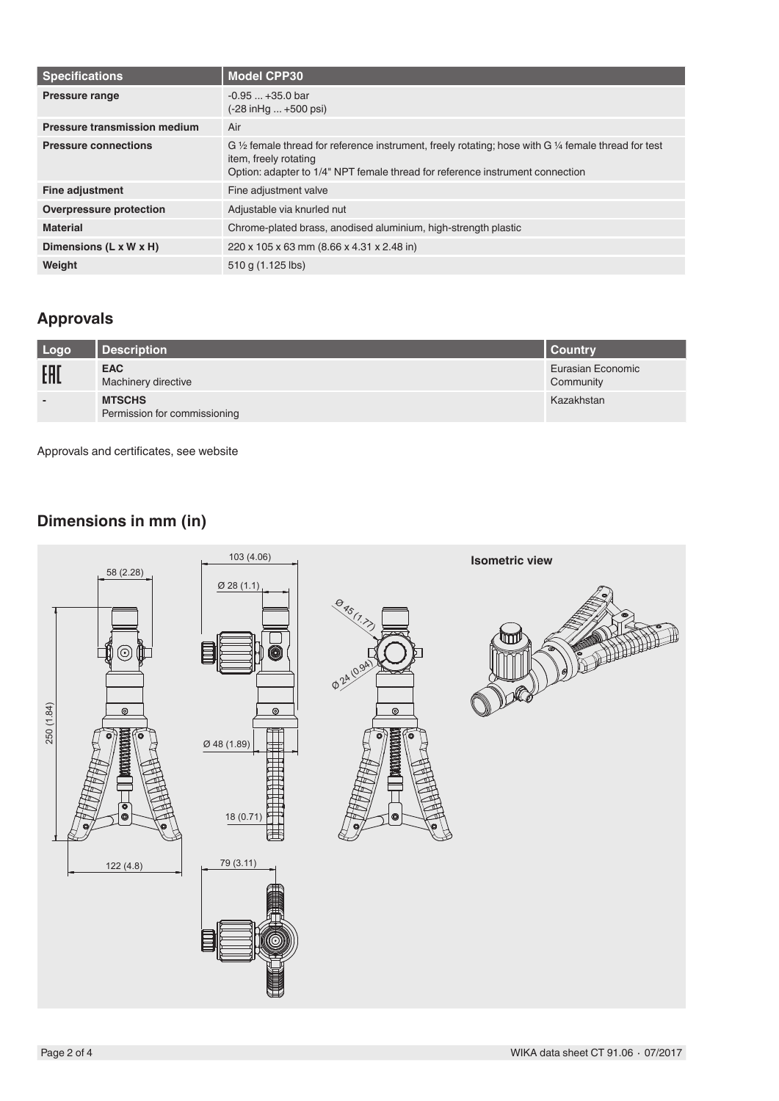| <b>Specifications</b>          | <b>Model CPP30</b>                                                                                                                                                                                                                  |  |
|--------------------------------|-------------------------------------------------------------------------------------------------------------------------------------------------------------------------------------------------------------------------------------|--|
| <b>Pressure range</b>          | $-0.95+35.0$ bar<br>(-28 in Hg  +500 psi)                                                                                                                                                                                           |  |
| Pressure transmission medium   | Air                                                                                                                                                                                                                                 |  |
| <b>Pressure connections</b>    | G $\frac{1}{2}$ female thread for reference instrument, freely rotating; hose with G $\frac{1}{4}$ female thread for test<br>item, freely rotating<br>Option: adapter to 1/4" NPT female thread for reference instrument connection |  |
| <b>Fine adjustment</b>         | Fine adjustment valve                                                                                                                                                                                                               |  |
| <b>Overpressure protection</b> | Adjustable via knurled nut                                                                                                                                                                                                          |  |
| <b>Material</b>                | Chrome-plated brass, anodised aluminium, high-strength plastic                                                                                                                                                                      |  |
| Dimensions (L x W x H)         | 220 x 105 x 63 mm (8.66 x 4.31 x 2.48 in)                                                                                                                                                                                           |  |
| Weight                         | 510 g (1.125 lbs)                                                                                                                                                                                                                   |  |

# **Approvals**

| Logo                     | Description                                   | <b>Country</b>                 |
|--------------------------|-----------------------------------------------|--------------------------------|
| EAL                      | <b>EAC</b><br>Machinery directive             | Eurasian Economic<br>Community |
| $\overline{\phantom{0}}$ | <b>MTSCHS</b><br>Permission for commissioning | Kazakhstan                     |

Approvals and certificates, see website

# **Dimensions in mm (in)**

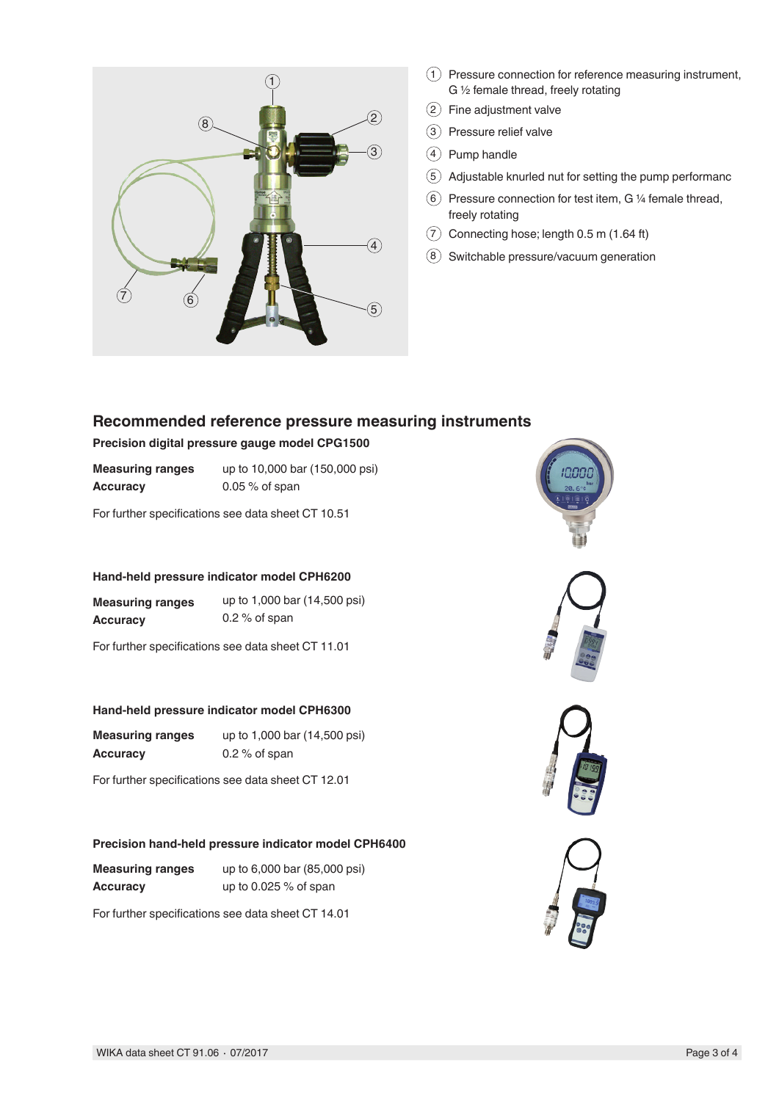

- $(1)$  Pressure connection for reference measuring instrument, G ½ female thread, freely rotating
- 2 Fine adjustment valve
- 3 Pressure relief valve
- $(4)$  Pump handle
- $(5)$  Adjustable knurled nut for setting the pump performanc
- $(6)$  Pressure connection for test item, G 1/4 female thread, freely rotating
- $(7)$  Connecting hose; length 0.5 m (1.64 ft)
- 8 Switchable pressure/vacuum generation

# **Recommended reference pressure measuring instruments**

## **Precision digital pressure gauge model CPG1500**

| <b>Measuring ranges</b> | up to 10,000 bar (150,000 psi) |
|-------------------------|--------------------------------|
| Accuracy                | $0.05\%$ of span               |

For further specifications see data sheet CT 10.51

## **Hand-held pressure indicator model CPH6200**

| <b>Measuring ranges</b> | up to 1,000 bar (14,500 psi) |
|-------------------------|------------------------------|
| <b>Accuracy</b>         | $0.2\%$ of span              |

For further specifications see data sheet CT 11.01

## **Hand-held pressure indicator model CPH6300**

| <b>Measuring ranges</b> | up to 1,000 bar (14,500 psi) |
|-------------------------|------------------------------|
| <b>Accuracy</b>         | $0.2\%$ of span              |

For further specifications see data sheet CT 12.01

# **Precision hand-held pressure indicator model CPH6400**

| <b>Measuring ranges</b> | up to 6,000 bar (85,000 psi) |
|-------------------------|------------------------------|
| <b>Accuracy</b>         | up to $0.025\%$ of span      |

For further specifications see data sheet CT 14.01